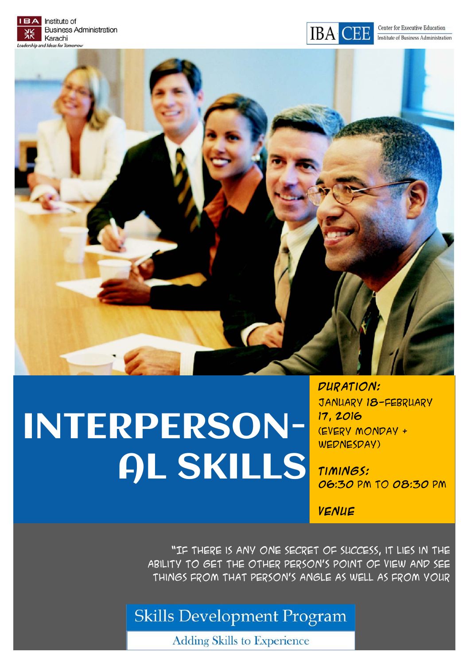



# INTERPERSON-AL SKILLS

**Duration:**  January 18-February 17, 2016 (every Monday & WEDNESDAY)

**Timings:**  06:30 pm to 08:30 pm

**Venue** 

"If there is any one secret of success, it lies in the ability to get the other person's point of view and see things from that person's angle as well as from your

## **Skills Development Program**

**Adding Skills to Experience**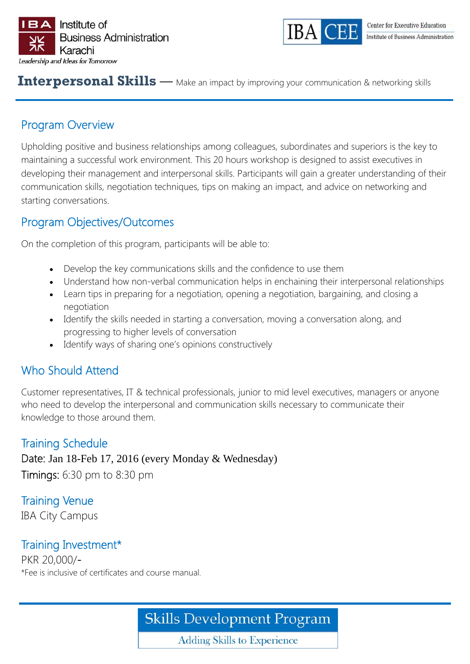



#### **Interpersonal Skills** — Make an impact by improving your communication & networking skills

#### Program Overview

Upholding positive and business relationships among colleagues, subordinates and superiors is the key to maintaining a successful work environment. This 20 hours workshop is designed to assist executives in developing their management and interpersonal skills. Participants will gain a greater understanding of their communication skills, negotiation techniques, tips on making an impact, and advice on networking and starting conversations.

#### Program Objectives/Outcomes

On the completion of this program, participants will be able to:

- Develop the key communications skills and the confidence to use them
- Understand how non-verbal communication helps in enchaining their interpersonal relationships
- Learn tips in preparing for a negotiation, opening a negotiation, bargaining, and closing a negotiation
- Identify the skills needed in starting a conversation, moving a conversation along, and progressing to higher levels of conversation
- Identify ways of sharing one's opinions constructively

#### Who Should Attend

Customer representatives, IT & technical professionals, junior to mid level executives, managers or anyone who need to develop the interpersonal and communication skills necessary to communicate their knowledge to those around them.

#### Training Schedule

Date: Jan 18-Feb 17, 2016 (every Monday & Wednesday)

Timings: 6:30 pm to 8:30 pm

Training Venue IBA City Campus

#### Training Investment\*

PKR 20,000/- \*Fee is inclusive of certificates and course manual.

## **Skills Development Program**

**Adding Skills to Experience**